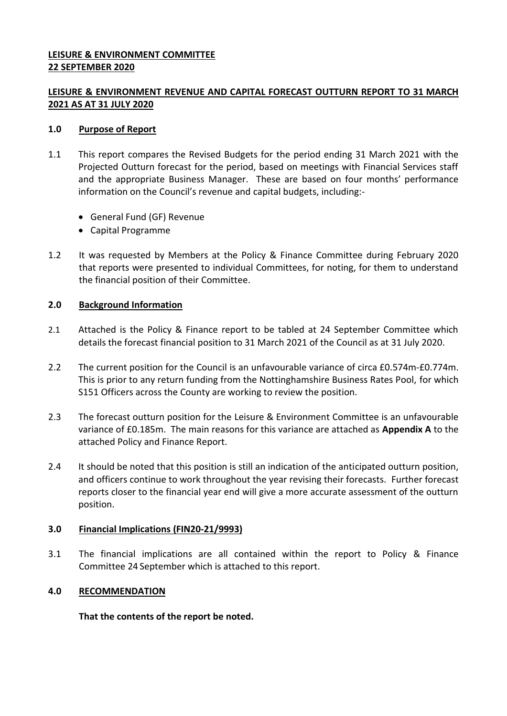## **LEISURE & ENVIRONMENT COMMITTEE 22 SEPTEMBER 2020**

## **LEISURE & ENVIRONMENT REVENUE AND CAPITAL FORECAST OUTTURN REPORT TO 31 MARCH 2021 AS AT 31 JULY 2020**

## **1.0 Purpose of Report**

- 1.1 This report compares the Revised Budgets for the period ending 31 March 2021 with the Projected Outturn forecast for the period, based on meetings with Financial Services staff and the appropriate Business Manager. These are based on four months' performance information on the Council's revenue and capital budgets, including:-
	- General Fund (GF) Revenue
	- Capital Programme
- 1.2 It was requested by Members at the Policy & Finance Committee during February 2020 that reports were presented to individual Committees, for noting, for them to understand the financial position of their Committee.

## **2.0 Background Information**

- 2.1 Attached is the Policy & Finance report to be tabled at 24 September Committee which details the forecast financial position to 31 March 2021 of the Council as at 31 July 2020.
- 2.2 The current position for the Council is an unfavourable variance of circa £0.574m-£0.774m. This is prior to any return funding from the Nottinghamshire Business Rates Pool, for which S151 Officers across the County are working to review the position.
- 2.3 The forecast outturn position for the Leisure & Environment Committee is an unfavourable variance of £0.185m. The main reasons for this variance are attached as **Appendix A** to the attached Policy and Finance Report.
- 2.4 It should be noted that this position is still an indication of the anticipated outturn position, and officers continue to work throughout the year revising their forecasts. Further forecast reports closer to the financial year end will give a more accurate assessment of the outturn position.

## **3.0 Financial Implications (FIN20-21/9993)**

3.1 The financial implications are all contained within the report to Policy & Finance Committee 24 September which is attached to this report.

#### **4.0 RECOMMENDATION**

**That the contents of the report be noted.**